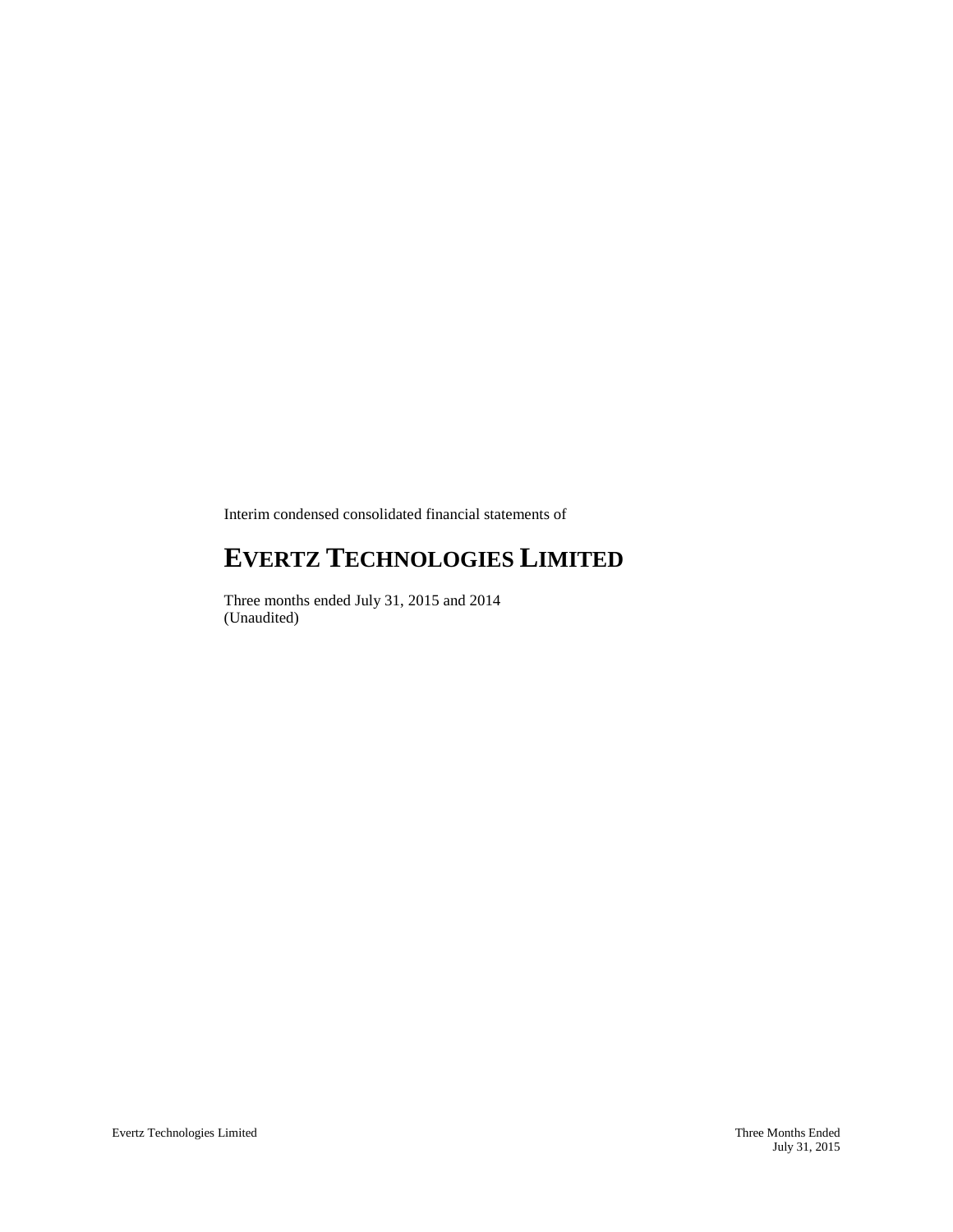Interim condensed consolidated financial statements of

# **EVERTZ TECHNOLOGIES LIMITED**

Three months ended July 31, 2015 and 2014 (Unaudited)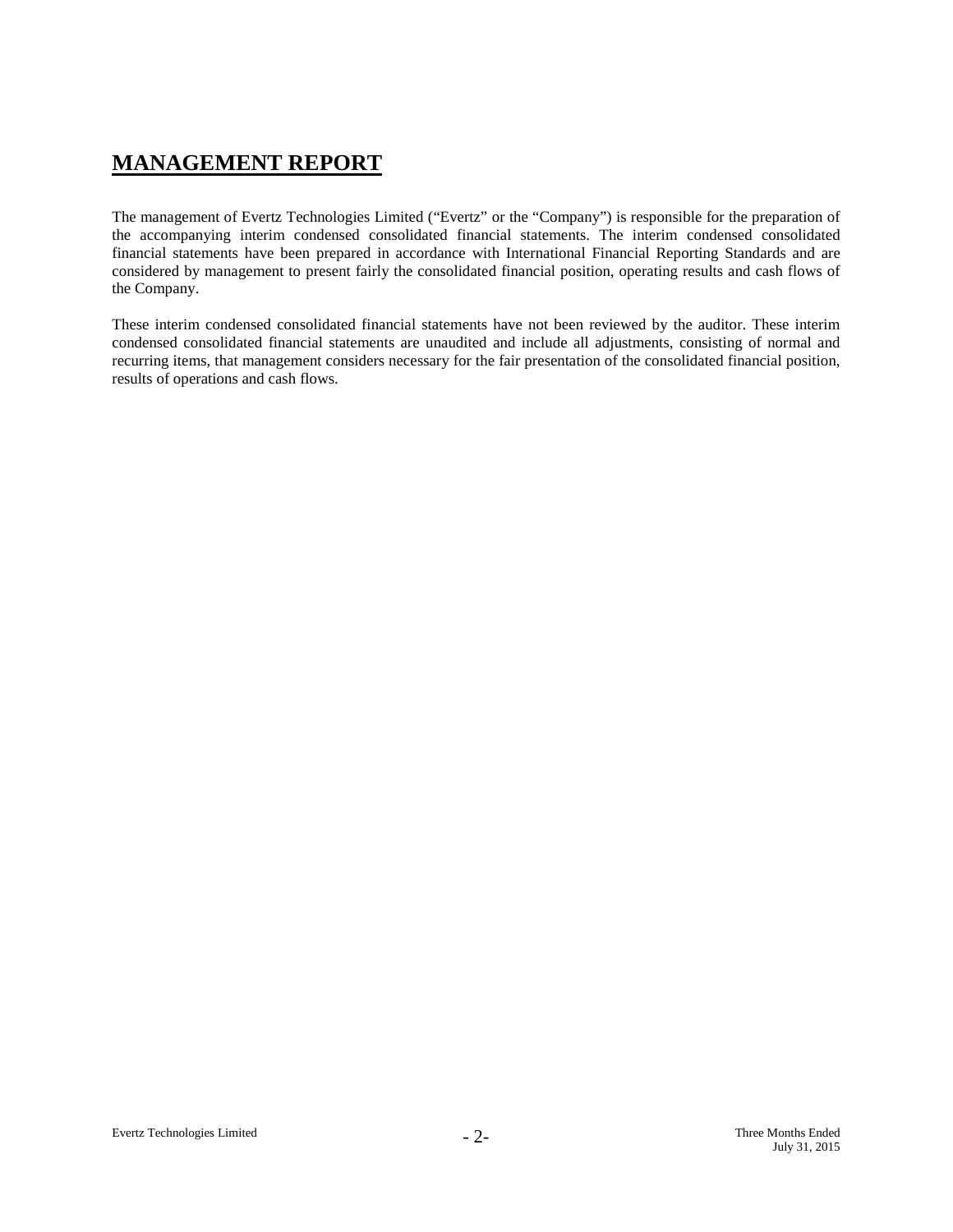# **MANAGEMENT REPORT**

The management of Evertz Technologies Limited ("Evertz" or the "Company") is responsible for the preparation of the accompanying interim condensed consolidated financial statements. The interim condensed consolidated financial statements have been prepared in accordance with International Financial Reporting Standards and are considered by management to present fairly the consolidated financial position, operating results and cash flows of the Company.

These interim condensed consolidated financial statements have not been reviewed by the auditor. These interim condensed consolidated financial statements are unaudited and include all adjustments, consisting of normal and recurring items, that management considers necessary for the fair presentation of the consolidated financial position, results of operations and cash flows.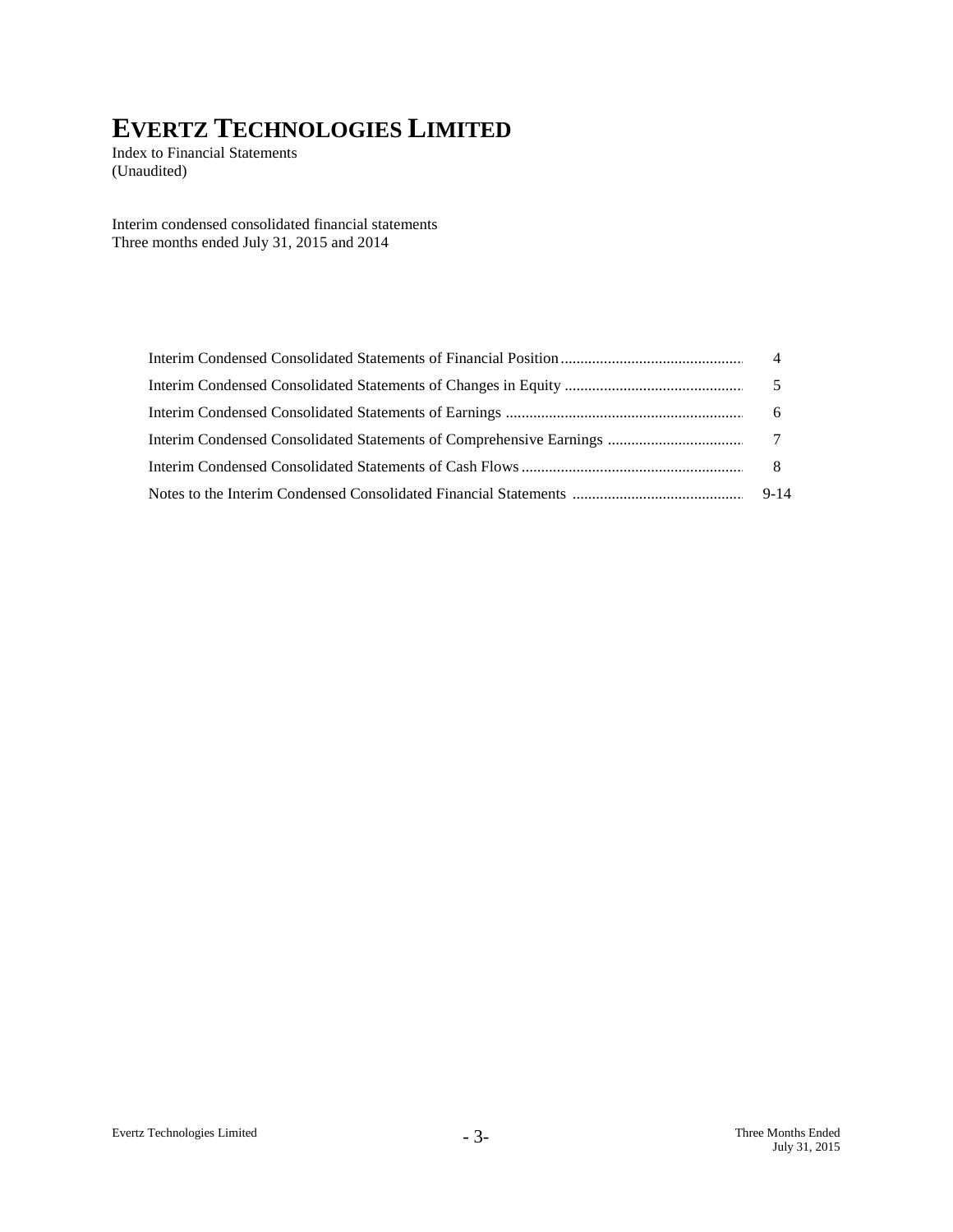Index to Financial Statements (Unaudited)

Interim condensed consolidated financial statements Three months ended July 31, 2015 and 2014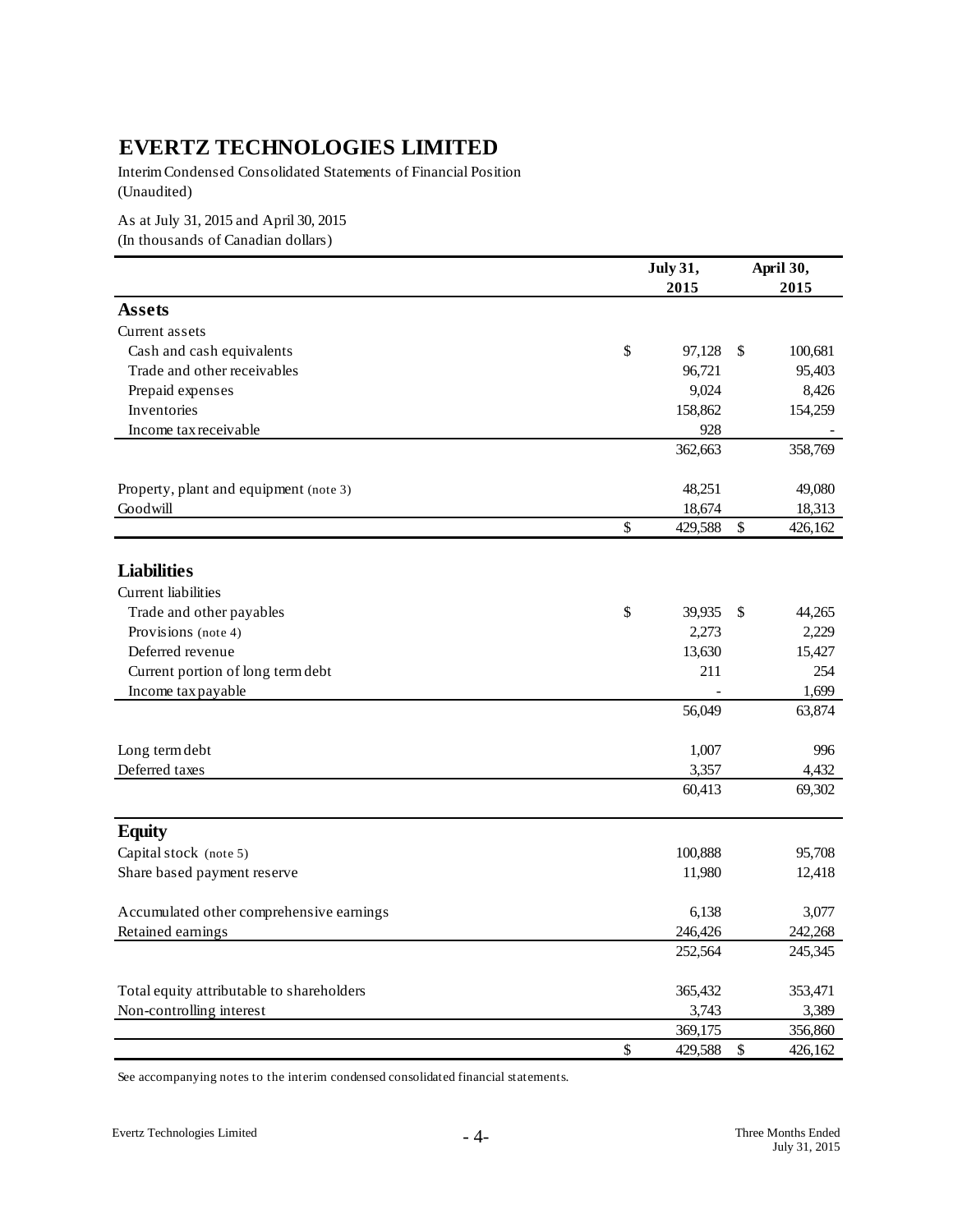Interim Condensed Consolidated Statements of Financial Position (Unaudited)

As at July 31, 2015 and April 30, 2015 (In thousands of Canadian dollars)

|                                           |                           | <b>July 31,</b> |            | April 30, |
|-------------------------------------------|---------------------------|-----------------|------------|-----------|
|                                           |                           | 2015            |            | 2015      |
| <b>Assets</b>                             |                           |                 |            |           |
| Current assets                            |                           |                 |            |           |
| Cash and cash equivalents                 | \$                        | 97,128          | $\sqrt{2}$ | 100,681   |
| Trade and other receivables               |                           | 96,721          |            | 95,403    |
| Prepaid expenses                          |                           | 9,024           |            | 8,426     |
| Inventories                               |                           | 158,862         |            | 154,259   |
| Income tax receivable                     |                           | 928             |            |           |
|                                           |                           | 362,663         |            | 358,769   |
| Property, plant and equipment (note 3)    |                           | 48,251          |            | 49,080    |
| Goodwill                                  |                           | 18,674          |            | 18,313    |
|                                           | \$                        | 429,588         | \$         | 426,162   |
|                                           |                           |                 |            |           |
| <b>Liabilities</b>                        |                           |                 |            |           |
| Current liabilities                       |                           |                 |            |           |
| Trade and other payables                  | \$                        | 39,935          | \$         | 44,265    |
| Provisions (note 4)                       |                           | 2,273           |            | 2,229     |
| Deferred revenue                          |                           | 13,630          |            | 15,427    |
| Current portion of long term debt         |                           | 211             |            | 254       |
| Income tax payable                        |                           |                 |            | 1,699     |
|                                           |                           | 56,049          |            | 63,874    |
| Long term debt                            |                           | 1,007           |            | 996       |
| Deferred taxes                            |                           | 3,357           |            | 4,432     |
|                                           |                           | 60,413          |            | 69,302    |
| <b>Equity</b>                             |                           |                 |            |           |
| Capital stock (note 5)                    |                           | 100,888         |            | 95,708    |
| Share based payment reserve               |                           | 11,980          |            | 12,418    |
| Accumulated other comprehensive earnings  |                           | 6,138           |            | 3,077     |
| Retained earnings                         |                           | 246,426         |            | 242,268   |
|                                           |                           | 252,564         |            | 245,345   |
| Total equity attributable to shareholders |                           | 365,432         |            | 353,471   |
| Non-controlling interest                  |                           | 3,743           |            | 3,389     |
|                                           |                           | 369,175         |            | 356,860   |
|                                           | $\boldsymbol{\mathsf{S}}$ | 429,588         | \$         | 426,162   |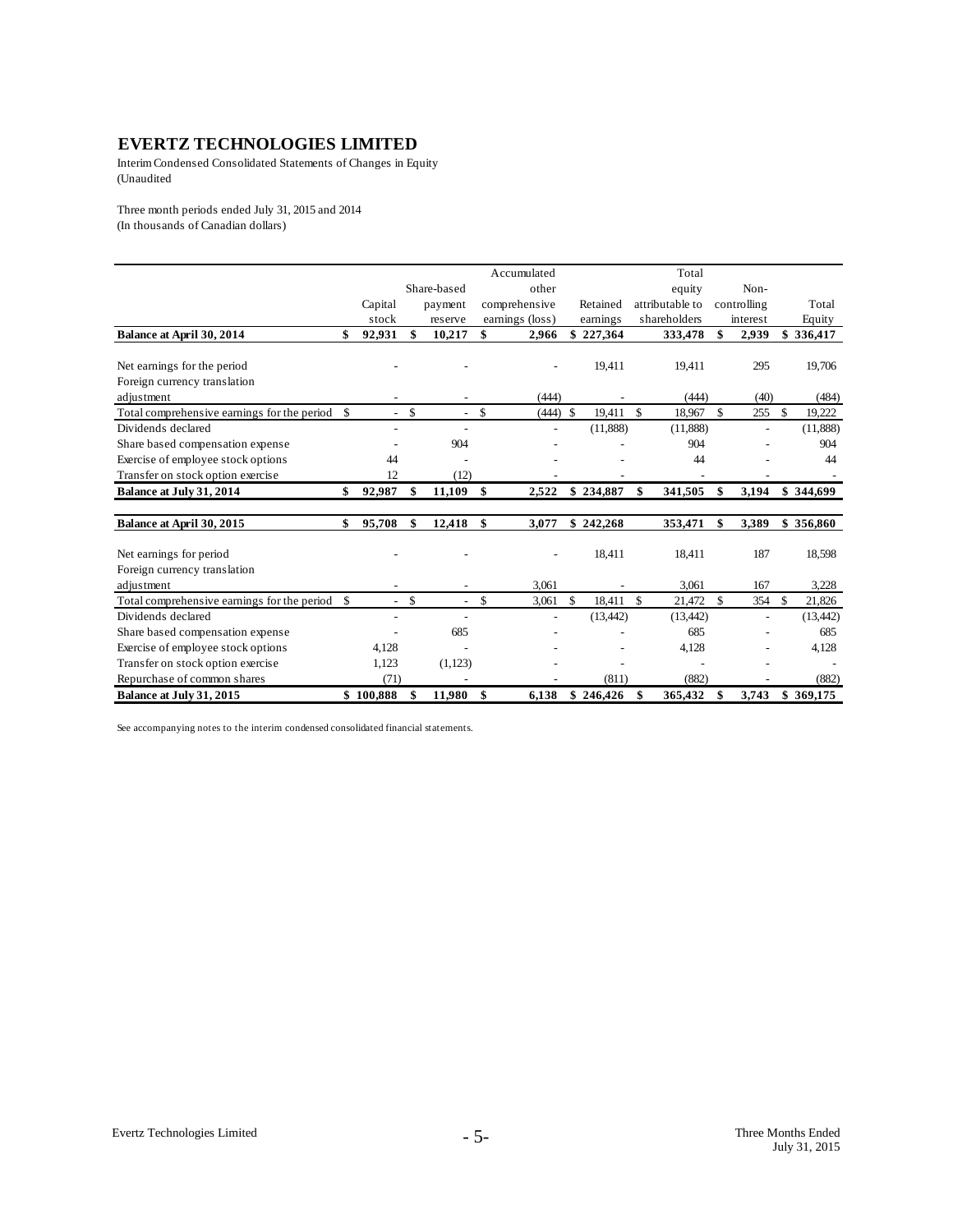Interim Condensed Consolidated Statements of Changes in Equity (Unaudited

Three month periods ended July 31, 2015 and 2014 (In thousands of Canadian dollars)

|                                                |                          |               |                          |               | Accumulated     |               |           |               | Total           |               |                |              |           |
|------------------------------------------------|--------------------------|---------------|--------------------------|---------------|-----------------|---------------|-----------|---------------|-----------------|---------------|----------------|--------------|-----------|
|                                                |                          |               | Share-based              |               | other           |               |           |               | equity          |               | Non-           |              |           |
|                                                | Capital                  |               | payment                  |               | comprehensive   |               | Retained  |               | attributable to |               | controlling    |              | Total     |
|                                                | stock                    |               | reserve                  |               | earnings (loss) |               | earnings  |               | shareholders    |               | interest       |              | Equity    |
| Balance at April 30, 2014                      | \$<br>92,931             | \$            | 10,217                   | \$            | 2,966           | \$            | 227,364   |               | 333,478         | \$            | 2,939          |              | \$336,417 |
|                                                |                          |               |                          |               |                 |               |           |               |                 |               |                |              |           |
| Net earnings for the period                    |                          |               |                          |               |                 |               | 19,411    |               | 19,411          |               | 295            |              | 19,706    |
| Foreign currency translation                   |                          |               |                          |               |                 |               |           |               |                 |               |                |              |           |
| adjustment                                     |                          |               |                          |               | (444)           |               |           |               | (444)           |               | (40)           |              | (484)     |
| Total comprehensive earnings for the period \$ | $\sim$                   | <sup>\$</sup> |                          | $\mathbf S$   | $(444)$ \$      |               | 19,411    | $\mathcal{S}$ | 18,967          | $\mathbb{S}$  | 255            | $\mathbf{s}$ | 19,222    |
| Dividends declared                             |                          |               |                          |               |                 |               | (11,888)  |               | (11,888)        |               | $\overline{a}$ |              | (11,888)  |
| Share based compensation expense               |                          |               | 904                      |               |                 |               |           |               | 904             |               |                |              | 904       |
| Exercise of employee stock options             | 44                       |               |                          |               |                 |               |           |               | 44              |               |                |              | 44        |
| Transfer on stock option exercise              | 12                       |               | (12)                     |               |                 |               |           |               |                 |               |                |              |           |
| Balance at July 31, 2014                       | \$<br>92,987             | \$            | 11,109                   | \$            | 2,522           |               | \$234,887 | \$            | 341,505         | \$            | 3,194          |              | \$344,699 |
| Balance at April 30, 2015                      | \$<br>95,708             | \$            | 12,418                   | \$            | 3,077           |               | \$242,268 |               | 353,471         | \$            | 3,389          |              | \$356,860 |
|                                                |                          |               |                          |               |                 |               |           |               |                 |               |                |              |           |
| Net earnings for period                        |                          |               |                          |               |                 |               | 18,411    |               | 18,411          |               | 187            |              | 18,598    |
| Foreign currency translation                   |                          |               |                          |               |                 |               |           |               |                 |               |                |              |           |
| adjustment                                     |                          |               |                          |               | 3,061           |               |           |               | 3,061           |               | 167            |              | 3,228     |
| Total comprehensive earnings for the period \$ | $\sim$                   | <sup>\$</sup> | $\overline{\phantom{a}}$ | $\mathcal{S}$ | 3,061           | $\mathcal{S}$ | 18,411    | $\mathcal{S}$ | 21,472          | <sup>\$</sup> | 354            | $\mathbb{S}$ | 21,826    |
| Dividends declared                             | $\overline{\phantom{a}}$ |               |                          |               |                 |               | (13, 442) |               | (13, 442)       |               | $\overline{a}$ |              | (13, 442) |
| Share based compensation expense               |                          |               | 685                      |               |                 |               |           |               | 685             |               |                |              | 685       |
| Exercise of employee stock options             | 4,128                    |               |                          |               |                 |               |           |               | 4,128           |               |                |              | 4,128     |
| Transfer on stock option exercise              | 1,123                    |               | (1, 123)                 |               |                 |               |           |               |                 |               |                |              |           |
| Repurchase of common shares                    | (71)                     |               |                          |               |                 |               | (811)     |               | (882)           |               |                |              | (882)     |
| Balance at July 31, 2015                       | \$100.888                | \$            | 11,980                   | \$            | 6,138           |               | \$246.426 | \$            | 365,432         | \$            | 3,743          |              | \$369,175 |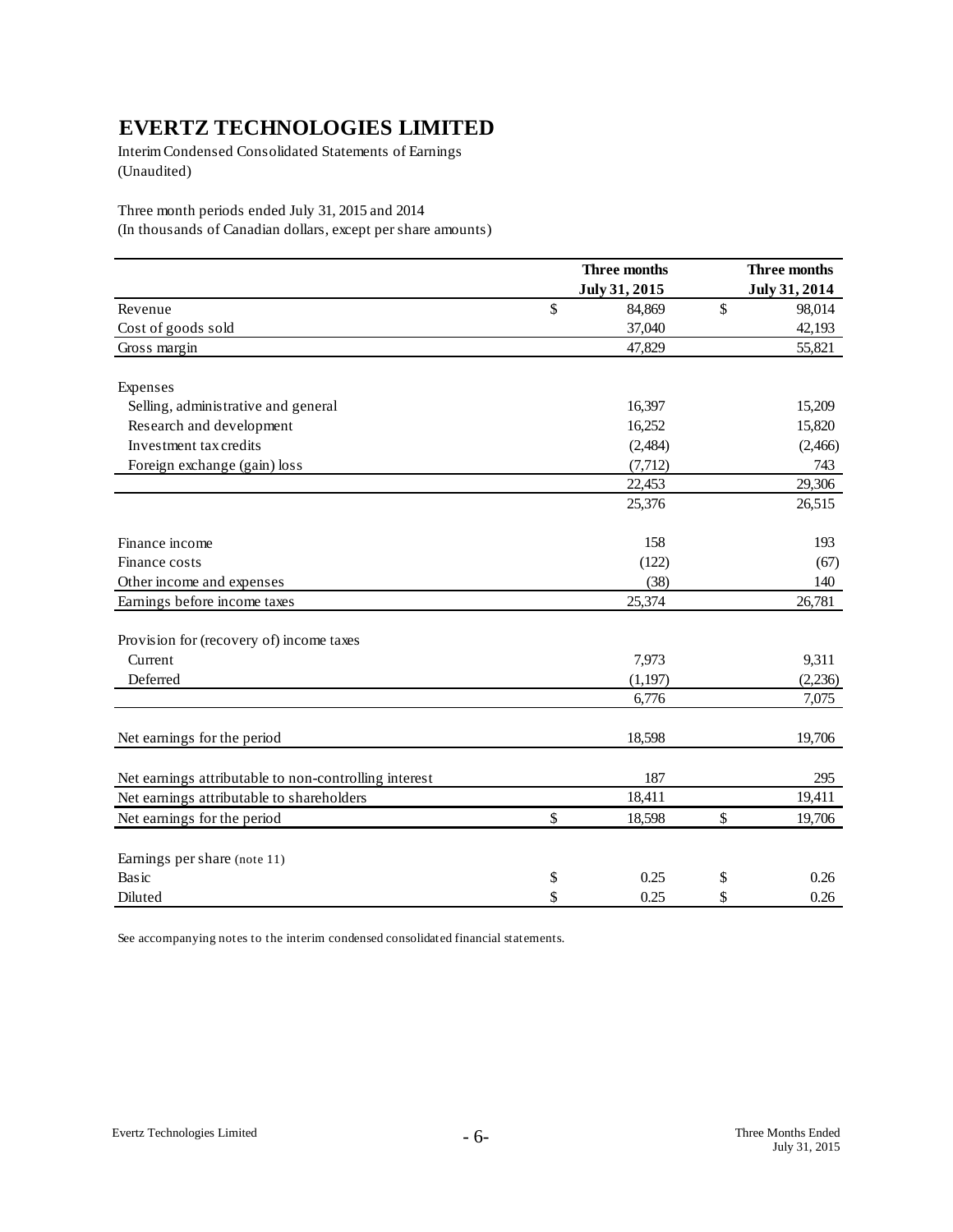Interim Condensed Consolidated Statements of Earnings (Unaudited)

Three month periods ended July 31, 2015 and 2014

(In thousands of Canadian dollars, except per share amounts)

|                                                       | Three months  |               | Three months  |
|-------------------------------------------------------|---------------|---------------|---------------|
|                                                       | July 31, 2015 |               | July 31, 2014 |
| Revenue                                               | \$<br>84,869  | $\mathsf{\$}$ | 98,014        |
| Cost of goods sold                                    | 37,040        |               | 42,193        |
| Gross margin                                          | 47,829        |               | 55,821        |
| Expenses                                              |               |               |               |
| Selling, administrative and general                   | 16,397        |               | 15,209        |
| Research and development                              | 16,252        |               | 15,820        |
| Investment tax credits                                | (2,484)       |               | (2,466)       |
| Foreign exchange (gain) loss                          | (7, 712)      |               | 743           |
|                                                       | 22,453        |               | 29,306        |
|                                                       | 25,376        |               | 26,515        |
| Finance income                                        | 158           |               | 193           |
| Finance costs                                         | (122)         |               | (67)          |
| Other income and expenses                             | (38)          |               | 140           |
| Earnings before income taxes                          | 25,374        |               | 26,781        |
| Provision for (recovery of) income taxes              |               |               |               |
| Current                                               | 7,973         |               | 9,311         |
| Deferred                                              | (1,197)       |               | (2, 236)      |
|                                                       | 6,776         |               | 7,075         |
| Net earnings for the period                           | 18,598        |               | 19,706        |
| Net earnings attributable to non-controlling interest | 187           |               | 295           |
| Net earnings attributable to shareholders             | 18,411        |               | 19,411        |
| Net earnings for the period                           | \$<br>18,598  | \$            | 19,706        |
| Earnings per share (note 11)                          |               |               |               |
| Basic                                                 | \$<br>0.25    | \$            | 0.26          |
| Diluted                                               | \$<br>0.25    | \$            | 0.26          |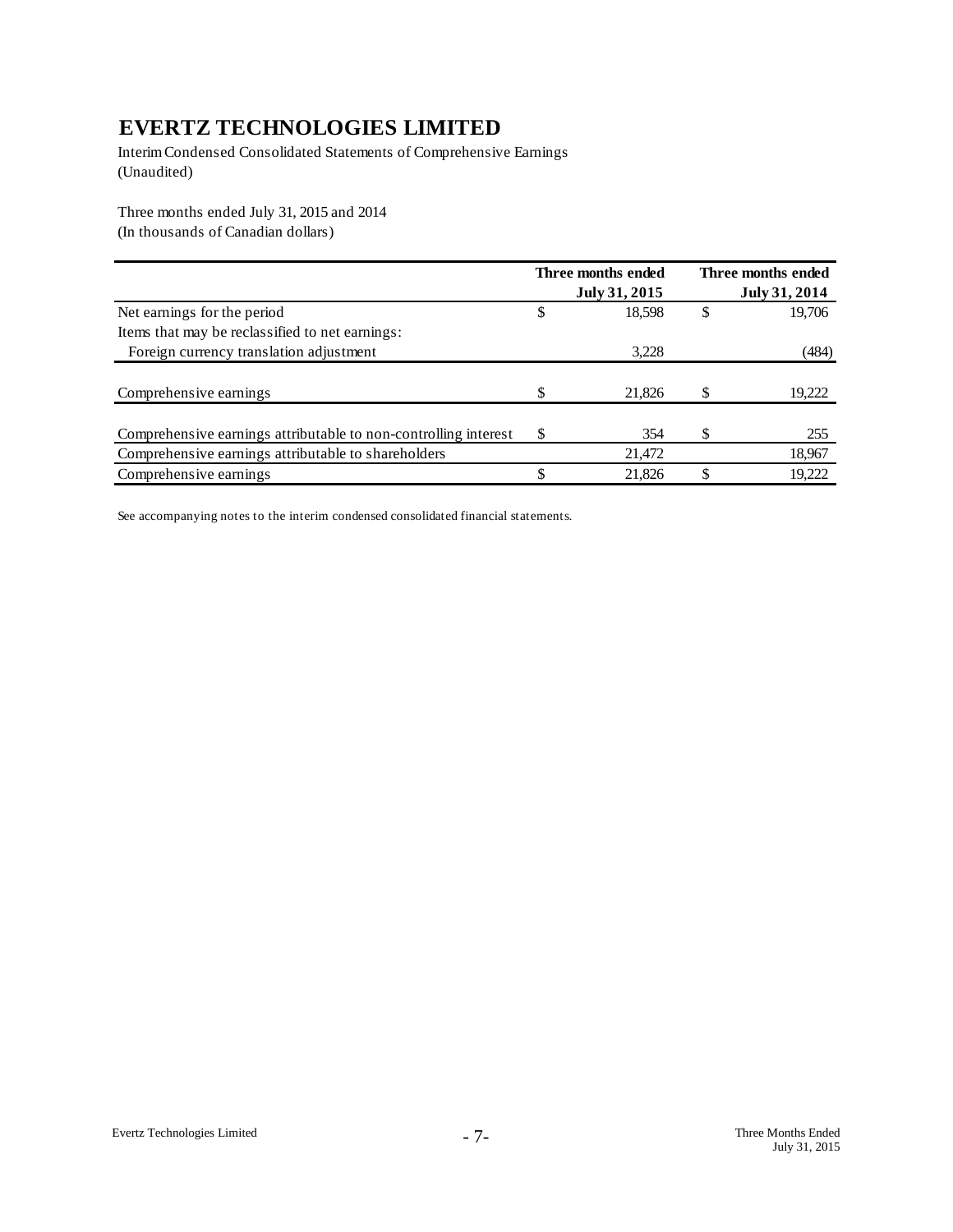Interim Condensed Consolidated Statements of Comprehensive Earnings (Unaudited)

Three months ended July 31, 2015 and 2014 (In thousands of Canadian dollars)

|                                                                 |   | Three months ended<br>July 31, 2015 | Three months ended<br>July 31, 2014 |
|-----------------------------------------------------------------|---|-------------------------------------|-------------------------------------|
| Net earnings for the period                                     |   | 18,598                              | \$<br>19,706                        |
| Items that may be reclassified to net earnings:                 |   |                                     |                                     |
| Foreign currency translation adjustment                         |   | 3,228                               | (484)                               |
|                                                                 |   |                                     |                                     |
| Comprehensive earnings                                          |   | 21,826                              | 19,222                              |
|                                                                 |   |                                     |                                     |
| Comprehensive earnings attributable to non-controlling interest | S | 354                                 | 255                                 |
| Comprehensive earnings attributable to shareholders             |   | 21,472                              | 18,967                              |
| Comprehensive earnings                                          |   | 21,826                              | 19,222                              |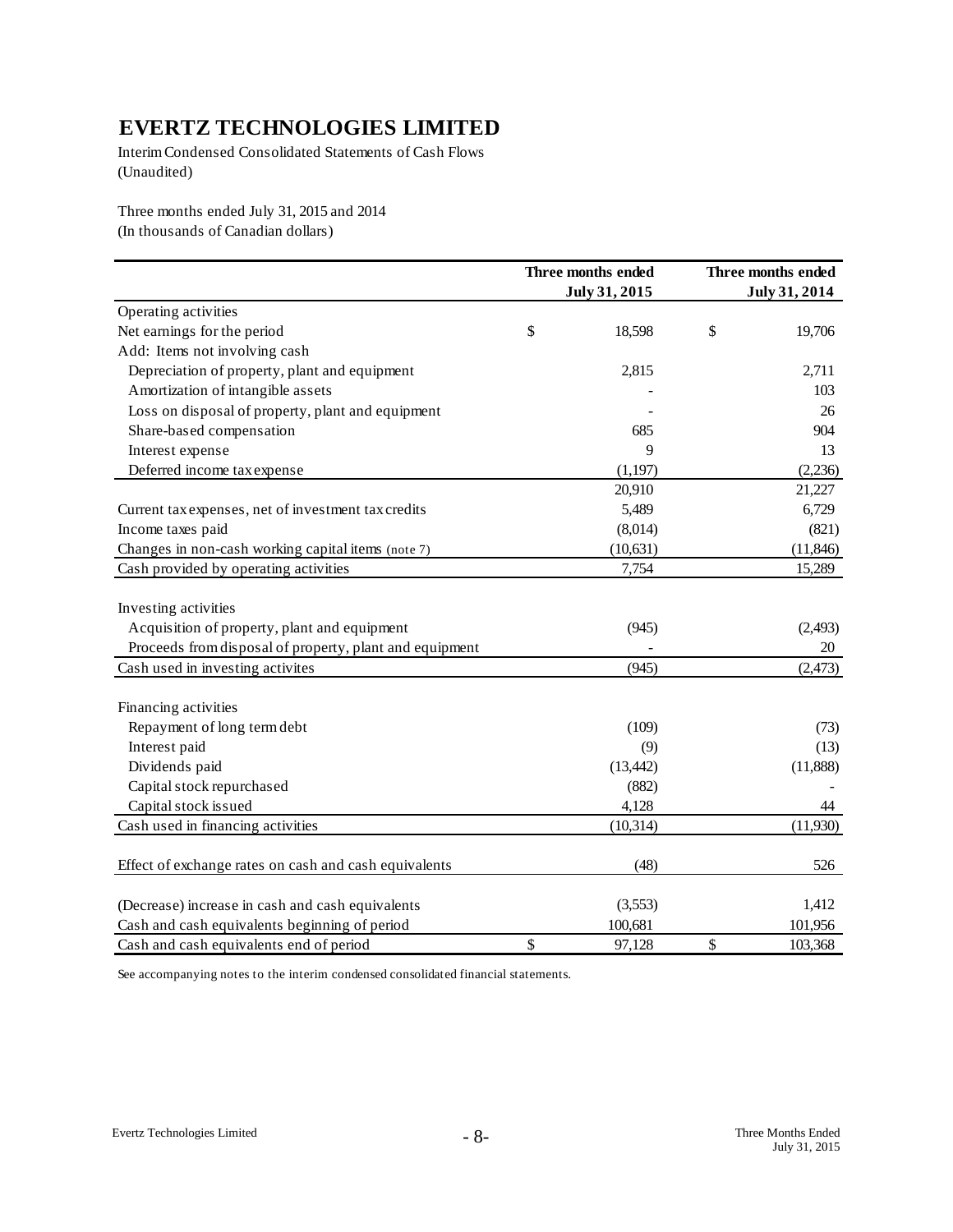Interim Condensed Consolidated Statements of Cash Flows (Unaudited)

Three months ended July 31, 2015 and 2014 (In thousands of Canadian dollars)

|                                                         | Three months ended<br>July 31, 2015 |    | Three months ended<br>July 31, 2014 |
|---------------------------------------------------------|-------------------------------------|----|-------------------------------------|
| Operating activities                                    |                                     |    |                                     |
| Net earnings for the period                             | \$<br>18,598                        | \$ | 19,706                              |
| Add: Items not involving cash                           |                                     |    |                                     |
|                                                         |                                     |    |                                     |
| Depreciation of property, plant and equipment           | 2,815                               |    | 2,711                               |
| Amortization of intangible assets                       |                                     |    | 103                                 |
| Loss on disposal of property, plant and equipment       |                                     |    | 26                                  |
| Share-based compensation                                | 685                                 |    | 904                                 |
| Interest expense                                        | $\mathbf Q$                         |    | 13                                  |
| Deferred income tax expense                             | (1, 197)                            |    | (2,236)                             |
|                                                         | 20,910                              |    | 21,227                              |
| Current tax expenses, net of investment tax credits     | 5,489                               |    | 6,729                               |
| Income taxes paid                                       | (8,014)                             |    | (821)                               |
| Changes in non-cash working capital items (note 7)      | (10, 631)                           |    | (11, 846)                           |
| Cash provided by operating activities                   | 7,754                               |    | 15,289                              |
|                                                         |                                     |    |                                     |
| Investing activities                                    |                                     |    |                                     |
| Acquisition of property, plant and equipment            | (945)                               |    | (2, 493)                            |
| Proceeds from disposal of property, plant and equipment |                                     |    | 20                                  |
| Cash used in investing activites                        | (945)                               |    | (2, 473)                            |
|                                                         |                                     |    |                                     |
| Financing activities                                    |                                     |    |                                     |
| Repayment of long term debt                             | (109)                               |    | (73)                                |
| Interest paid                                           | (9)                                 |    | (13)                                |
| Dividends paid                                          | (13, 442)                           |    | (11, 888)                           |
| Capital stock repurchased                               | (882)                               |    |                                     |
| Capital stock issued                                    | 4,128                               |    | 44                                  |
| Cash used in financing activities                       | (10, 314)                           |    | (11,930)                            |
| Effect of exchange rates on cash and cash equivalents   | (48)                                |    | 526                                 |
|                                                         |                                     |    |                                     |
| (Decrease) increase in cash and cash equivalents        | (3,553)                             |    | 1,412                               |
| Cash and cash equivalents beginning of period           | 100,681                             |    | 101,956                             |
| Cash and cash equivalents end of period                 | \$<br>97,128                        | \$ | 103,368                             |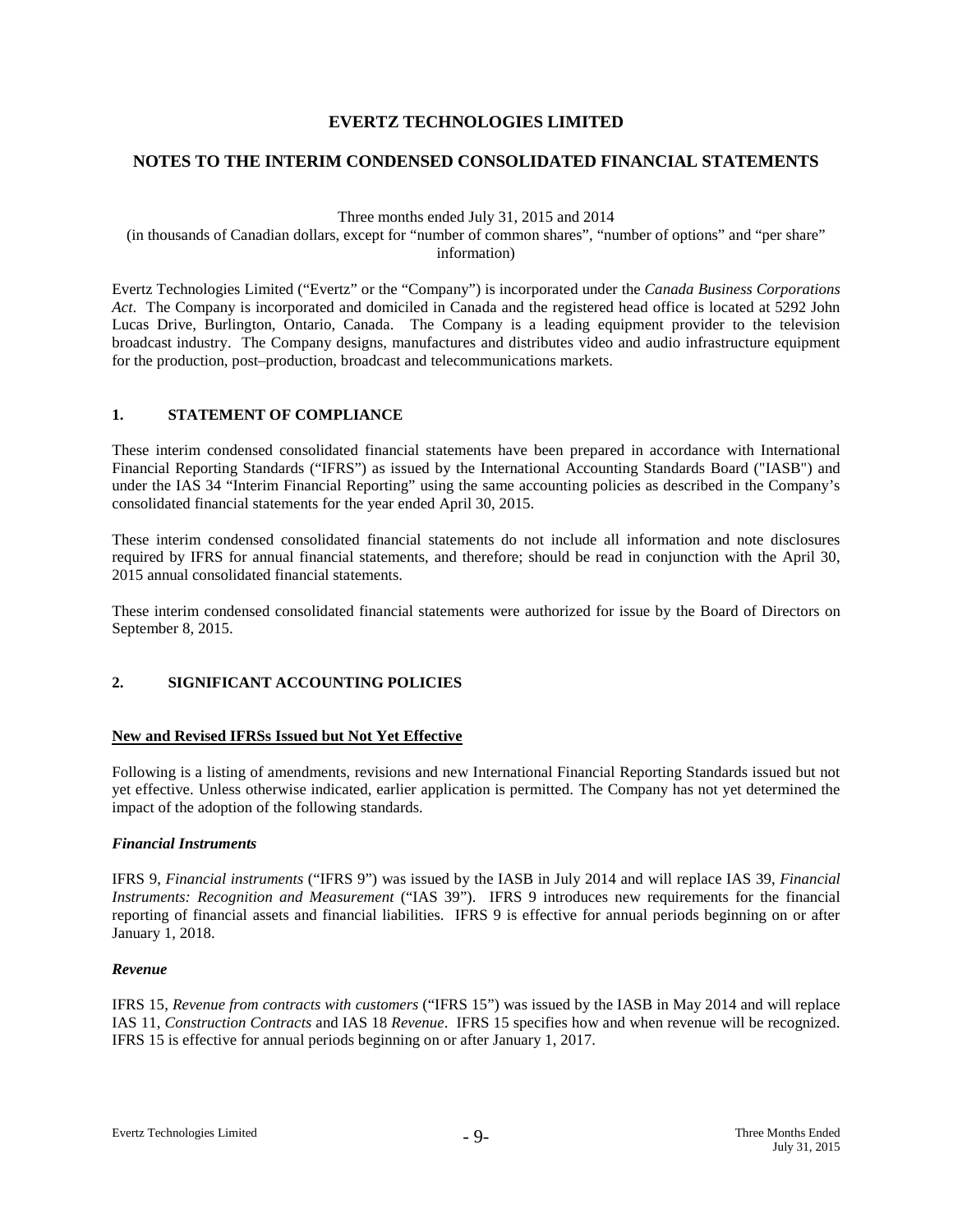# **NOTES TO THE INTERIM CONDENSED CONSOLIDATED FINANCIAL STATEMENTS**

Three months ended July 31, 2015 and 2014

(in thousands of Canadian dollars, except for "number of common shares", "number of options" and "per share" information)

Evertz Technologies Limited ("Evertz" or the "Company") is incorporated under the *Canada Business Corporations Act*. The Company is incorporated and domiciled in Canada and the registered head office is located at 5292 John Lucas Drive, Burlington, Ontario, Canada. The Company is a leading equipment provider to the television broadcast industry. The Company designs, manufactures and distributes video and audio infrastructure equipment for the production, post–production, broadcast and telecommunications markets.

## **1. STATEMENT OF COMPLIANCE**

These interim condensed consolidated financial statements have been prepared in accordance with International Financial Reporting Standards ("IFRS") as issued by the International Accounting Standards Board ("IASB") and under the IAS 34 "Interim Financial Reporting" using the same accounting policies as described in the Company's consolidated financial statements for the year ended April 30, 2015.

These interim condensed consolidated financial statements do not include all information and note disclosures required by IFRS for annual financial statements, and therefore; should be read in conjunction with the April 30, 2015 annual consolidated financial statements.

These interim condensed consolidated financial statements were authorized for issue by the Board of Directors on September 8, 2015.

## **2. SIGNIFICANT ACCOUNTING POLICIES**

#### **New and Revised IFRSs Issued but Not Yet Effective**

Following is a listing of amendments, revisions and new International Financial Reporting Standards issued but not yet effective. Unless otherwise indicated, earlier application is permitted. The Company has not yet determined the impact of the adoption of the following standards.

#### *Financial Instruments*

IFRS 9, *Financial instruments* ("IFRS 9") was issued by the IASB in July 2014 and will replace IAS 39, *Financial Instruments: Recognition and Measurement* ("IAS 39"). IFRS 9 introduces new requirements for the financial reporting of financial assets and financial liabilities. IFRS 9 is effective for annual periods beginning on or after January 1, 2018.

#### *Revenue*

IFRS 15, *Revenue from contracts with customers* ("IFRS 15") was issued by the IASB in May 2014 and will replace IAS 11, *Construction Contracts* and IAS 18 *Revenue*. IFRS 15 specifies how and when revenue will be recognized. IFRS 15 is effective for annual periods beginning on or after January 1, 2017.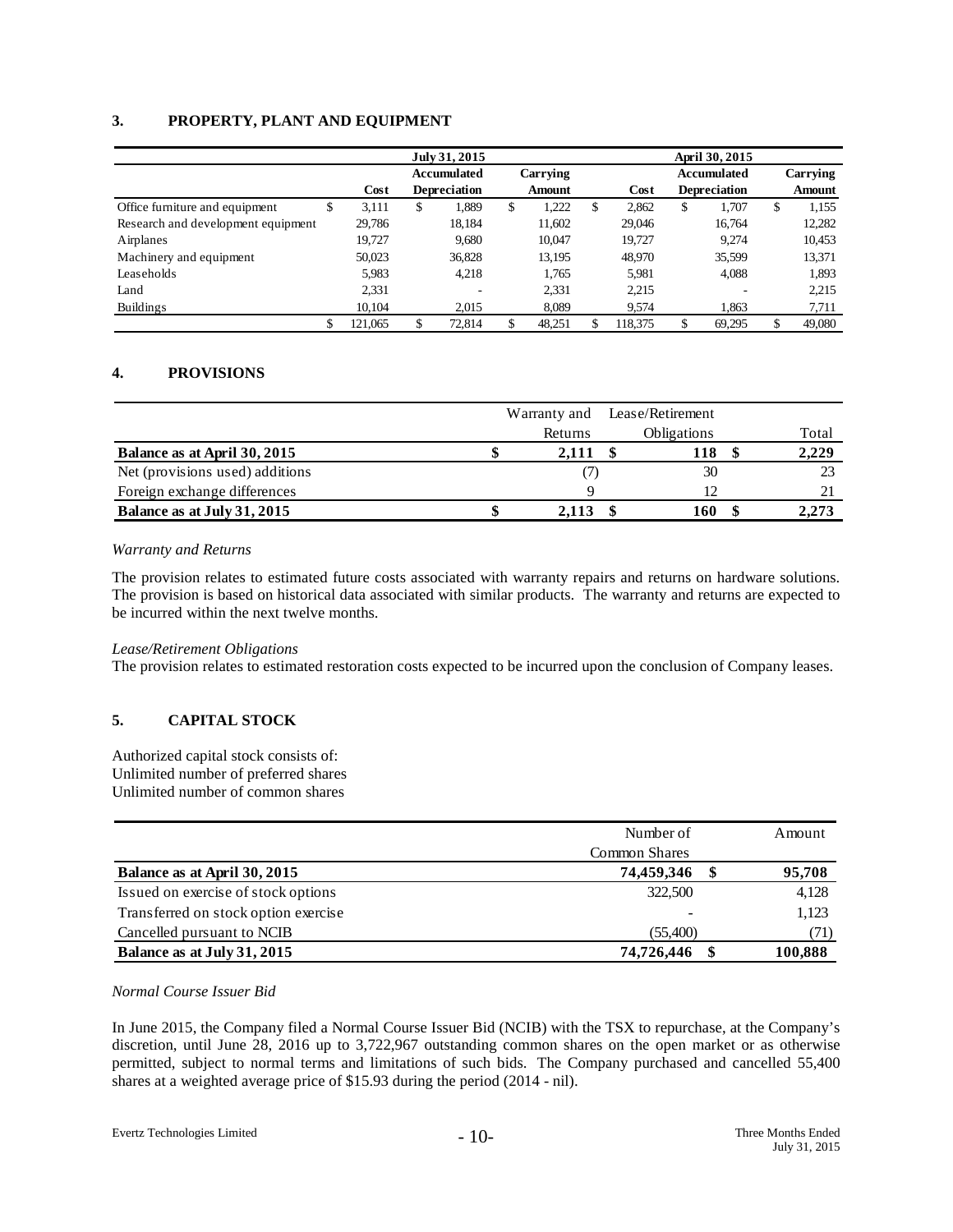## **3. PROPERTY, PLANT AND EQUIPMENT**

|                                     |         | July 31, 2015 | April 30, 2015      |    |               |     |         |    |                     |              |          |
|-------------------------------------|---------|---------------|---------------------|----|---------------|-----|---------|----|---------------------|--------------|----------|
|                                     |         |               | <b>Accumulated</b>  |    | Carrying      |     |         |    | <b>Accumulated</b>  |              | Carrying |
|                                     | Cost    |               | <b>Depreciation</b> |    | <b>Amount</b> |     | Cost    |    | <b>Depreciation</b> | Amount       |          |
| Office furniture and equipment<br>S | 3,111   | \$            | 1,889               | \$ | .222          | \$. | 2,862   | \$ | 1,707               | \$<br>1,155  |          |
| Research and development equipment  | 29,786  |               | 18,184              |    | 11,602        |     | 29,046  |    | 16.764              | 12,282       |          |
| Airplanes                           | 19.727  |               | 9.680               |    | 10,047        |     | 19.727  |    | 9.274               | 10,453       |          |
| Machinery and equipment             | 50,023  |               | 36,828              |    | 13,195        |     | 48.970  |    | 35,599              | 13,371       |          |
| Leaseholds                          | 5,983   |               | 4.218               |    | 1.765         |     | 5,981   |    | 4.088               | 1,893        |          |
| Land                                | 2,331   |               |                     |    | 2,331         |     | 2,215   |    | -                   | 2,215        |          |
| Buildings                           | 10,104  |               | 2.015               |    | 8.089         |     | 9.574   |    | 1.863               | 7,711        |          |
| \$                                  | 121,065 |               | 72.814              | \$ | 48,251        |     | 118.375 | \$ | 69,295              | \$<br>49,080 |          |

# **4. PROVISIONS**

|                                 |         | Warranty and Lease/Retirement |       |
|---------------------------------|---------|-------------------------------|-------|
|                                 | Returns | <b>Obligations</b>            | Total |
| Balance as at April 30, 2015    | 2,111   | 118                           | 2,229 |
| Net (provisions used) additions |         | 30                            | 23    |
| Foreign exchange differences    |         |                               |       |
| Balance as at July 31, 2015     | 2.113   | 160                           | 2,273 |

#### *Warranty and Returns*

The provision relates to estimated future costs associated with warranty repairs and returns on hardware solutions. The provision is based on historical data associated with similar products. The warranty and returns are expected to be incurred within the next twelve months.

#### *Lease/Retirement Obligations*

The provision relates to estimated restoration costs expected to be incurred upon the conclusion of Company leases.

# **5. CAPITAL STOCK**

Authorized capital stock consists of: Unlimited number of preferred shares Unlimited number of common shares

|                                      | Number of            | Amount  |
|--------------------------------------|----------------------|---------|
|                                      | <b>Common Shares</b> |         |
| Balance as at April 30, 2015         | 74,459,346           | 95,708  |
| Issued on exercise of stock options  | 322,500              | 4,128   |
| Transferred on stock option exercise | -                    | 1,123   |
| Cancelled pursuant to NCIB           | (55,400)             | (71)    |
| Balance as at July 31, 2015          | 74,726,446           | 100,888 |

#### *Normal Course Issuer Bid*

In June 2015, the Company filed a Normal Course Issuer Bid (NCIB) with the TSX to repurchase, at the Company's discretion, until June 28, 2016 up to 3,722,967 outstanding common shares on the open market or as otherwise permitted, subject to normal terms and limitations of such bids. The Company purchased and cancelled 55,400 shares at a weighted average price of \$15.93 during the period (2014 - nil).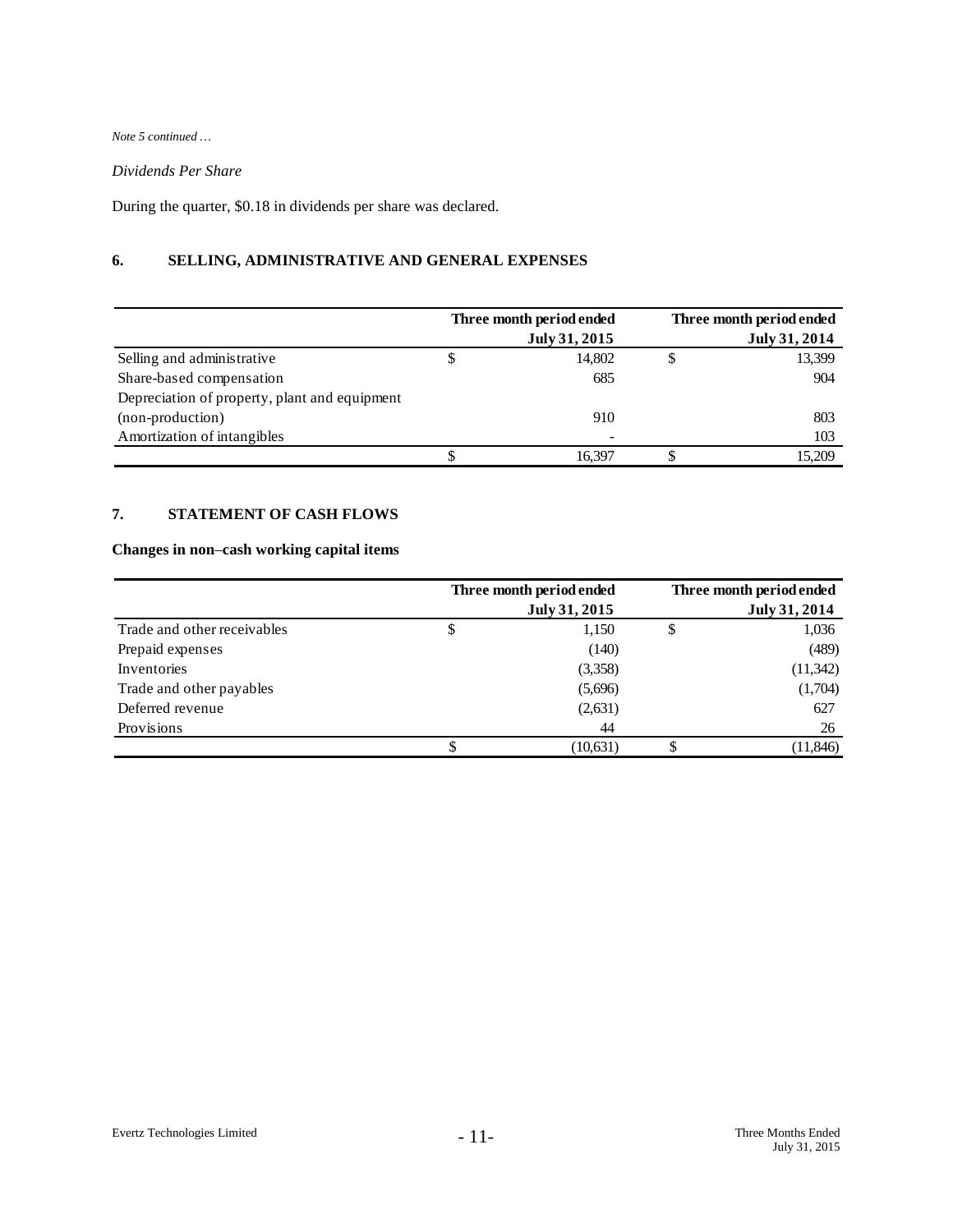*Note 5 continued …*

# *Dividends Per Share*

During the quarter, \$0.18 in dividends per share was declared.

# **6. SELLING, ADMINISTRATIVE AND GENERAL EXPENSES**

|                                               |    | Three month period ended | Three month period ended |
|-----------------------------------------------|----|--------------------------|--------------------------|
|                                               |    | July 31, 2015            | July 31, 2014            |
| Selling and administrative                    | \$ | 14.802                   | 13,399                   |
| Share-based compensation                      |    | 685                      | 904                      |
| Depreciation of property, plant and equipment |    |                          |                          |
| (non-production)                              |    | 910                      | 803                      |
| Amortization of intangibles                   |    |                          | 103                      |
|                                               | J  | 16.397                   | 15.209                   |

# **7. STATEMENT OF CASH FLOWS**

# **Changes in non**–**cash working capital items**

|                             | Three month period ended<br>July 31, 2015 | Three month period ended<br>July 31, 2014 |
|-----------------------------|-------------------------------------------|-------------------------------------------|
| Trade and other receivables | \$<br>1,150                               | 1,036                                     |
| Prepaid expenses            | (140)                                     | (489)                                     |
| Inventories                 | (3,358)                                   | (11, 342)                                 |
| Trade and other payables    | (5,696)                                   | (1,704)                                   |
| Deferred revenue            | (2,631)                                   | 627                                       |
| Provisions                  | 44                                        | 26                                        |
|                             | (10,631)                                  | (11, 846)                                 |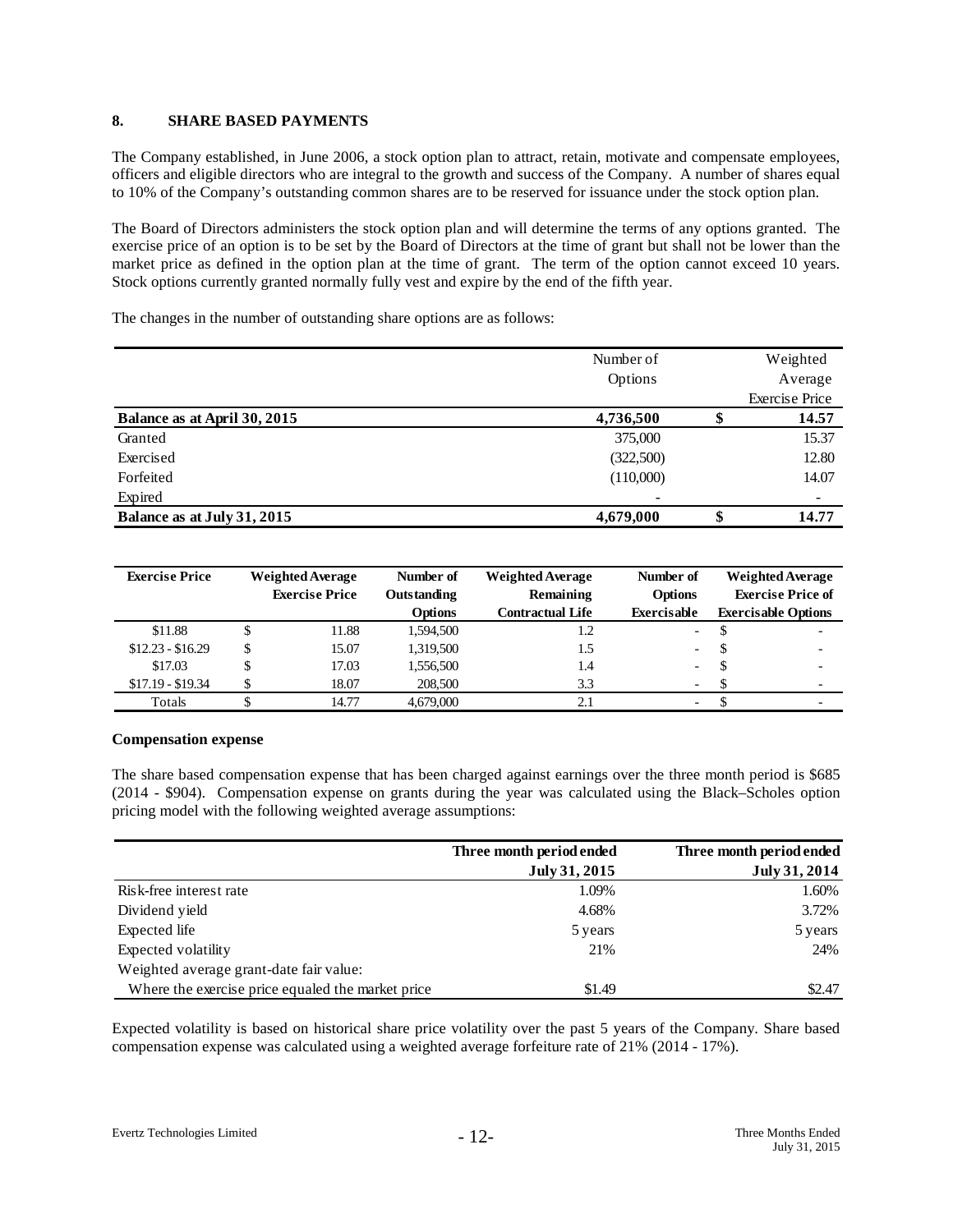#### **8. SHARE BASED PAYMENTS**

The Company established, in June 2006, a stock option plan to attract, retain, motivate and compensate employees, officers and eligible directors who are integral to the growth and success of the Company. A number of shares equal to 10% of the Company's outstanding common shares are to be reserved for issuance under the stock option plan.

The Board of Directors administers the stock option plan and will determine the terms of any options granted. The exercise price of an option is to be set by the Board of Directors at the time of grant but shall not be lower than the market price as defined in the option plan at the time of grant. The term of the option cannot exceed 10 years. Stock options currently granted normally fully vest and expire by the end of the fifth year.

The changes in the number of outstanding share options are as follows:

|                              | Number of | Weighted              |
|------------------------------|-----------|-----------------------|
|                              | Options   | Average               |
|                              |           | <b>Exercise Price</b> |
| Balance as at April 30, 2015 | 4,736,500 | 14.57                 |
| Granted                      | 375,000   | 15.37                 |
| Exercised                    | (322,500) | 12.80                 |
| Forfeited                    | (110,000) | 14.07                 |
| Expired                      |           |                       |
| Balance as at July 31, 2015  | 4,679,000 | \$<br>14.77           |

| <b>Exercise Price</b> | <b>Weighted Average</b><br><b>Exercise Price</b> |       | Number of<br>Outstanding | <b>Weighted Average</b><br>Remaining | Number of<br>Options     |   | <b>Weighted Average</b><br><b>Exercise Price of</b> |  |
|-----------------------|--------------------------------------------------|-------|--------------------------|--------------------------------------|--------------------------|---|-----------------------------------------------------|--|
|                       |                                                  |       | <b>Options</b>           | <b>Contractual Life</b>              | <b>Exercisable</b>       |   | <b>Exercisable Options</b>                          |  |
| \$11.88               |                                                  | 11.88 | 1,594,500                | 1.2                                  | $\sim$ 10 $\pm$          |   |                                                     |  |
| $$12.23 - $16.29$     | \$                                               | 15.07 | 1,319,500                | 1.5                                  | $\overline{\phantom{a}}$ | S | -                                                   |  |
| \$17.03               |                                                  | 17.03 | 1,556,500                | 1.4                                  | $\overline{\phantom{0}}$ | S |                                                     |  |
| $$17.19 - $19.34$     |                                                  | 18.07 | 208,500                  | 3.3                                  | $\overline{\phantom{a}}$ |   | $\overline{\phantom{0}}$                            |  |
| Totals                |                                                  | 14.77 | 4,679,000                | 2.1                                  | $\overline{\phantom{0}}$ |   |                                                     |  |

## **Compensation expense**

The share based compensation expense that has been charged against earnings over the three month period is \$685 (2014 - \$904). Compensation expense on grants during the year was calculated using the Black–Scholes option pricing model with the following weighted average assumptions:

|                                                   | Three month period ended | Three month period ended |
|---------------------------------------------------|--------------------------|--------------------------|
|                                                   | July 31, 2015            | July 31, 2014            |
| Risk-free interest rate                           | 1.09%                    | 1.60%                    |
| Dividend yield                                    | 4.68%                    | 3.72%                    |
| Expected life                                     | 5 years                  | 5 years                  |
| Expected volatility                               | 21%                      | 24%                      |
| Weighted average grant-date fair value:           |                          |                          |
| Where the exercise price equaled the market price | \$1.49                   | \$2.47                   |

Expected volatility is based on historical share price volatility over the past 5 years of the Company. Share based compensation expense was calculated using a weighted average forfeiture rate of 21% (2014 - 17%).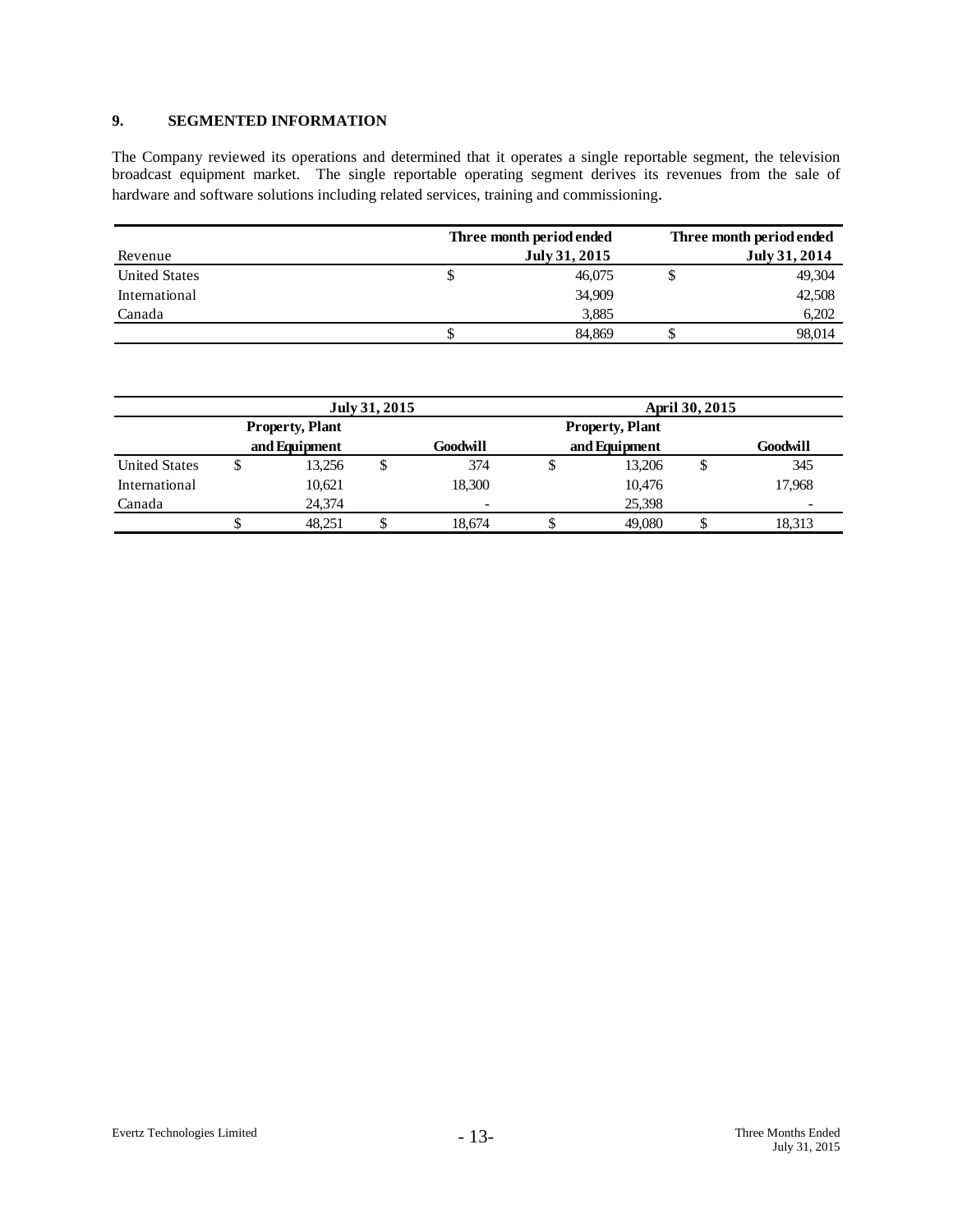# **9. SEGMENTED INFORMATION**

The Company reviewed its operations and determined that it operates a single reportable segment, the television broadcast equipment market. The single reportable operating segment derives its revenues from the sale of hardware and software solutions including related services, training and commissioning.

|                      | Three month period ended | Three month period ended |  |  |
|----------------------|--------------------------|--------------------------|--|--|
| Revenue              | July 31, 2015            | July 31, 2014            |  |  |
| <b>United States</b> | 46,075<br>P              | 49.304                   |  |  |
| International        | 34,909                   | 42,508                   |  |  |
| Canada               | 3,885                    | 6,202                    |  |  |
|                      | 84.869                   | 98,014                   |  |  |

|                      | July 31, 2015 |                        |  |                           | April 30, 2015 |                        |          |                          |
|----------------------|---------------|------------------------|--|---------------------------|----------------|------------------------|----------|--------------------------|
|                      |               | <b>Property, Plant</b> |  |                           |                | <b>Property, Plant</b> |          |                          |
|                      | and Equipment |                        |  | and Equipment<br>Goodwill |                |                        | Goodwill |                          |
| <b>United States</b> | Φ             | 13,256                 |  | 374                       |                | 13,206                 | Φ        | 345                      |
| International        |               | 10,621                 |  | 18.300                    |                | 10,476                 |          | 17.968                   |
| Canada               |               | 24,374                 |  | $\overline{\phantom{a}}$  |                | 25,398                 |          | $\overline{\phantom{0}}$ |
|                      |               | 48.251                 |  | 18,674                    |                | 49,080                 |          | 18.313                   |